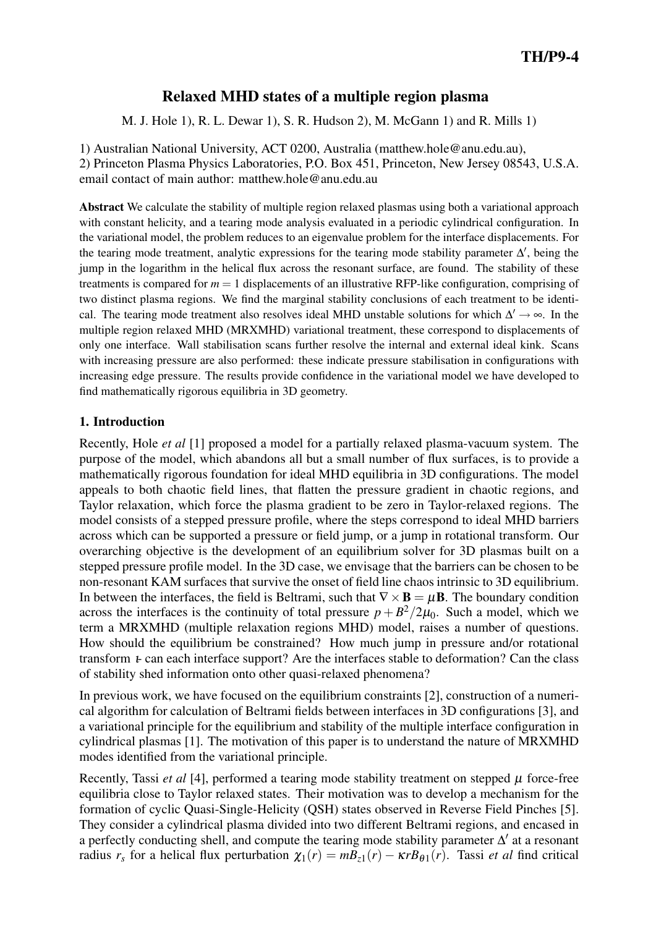# Relaxed MHD states of a multiple region plasma

M. J. Hole 1), R. L. Dewar 1), S. R. Hudson 2), M. McGann 1) and R. Mills 1)

1) Australian National University, ACT 0200, Australia (matthew.hole@anu.edu.au), 2) Princeton Plasma Physics Laboratories, P.O. Box 451, Princeton, New Jersey 08543, U.S.A. email contact of main author: matthew.hole@anu.edu.au

Abstract We calculate the stability of multiple region relaxed plasmas using both a variational approach with constant helicity, and a tearing mode analysis evaluated in a periodic cylindrical configuration. In the variational model, the problem reduces to an eigenvalue problem for the interface displacements. For the tearing mode treatment, analytic expressions for the tearing mode stability parameter  $\Delta'$ , being the jump in the logarithm in the helical flux across the resonant surface, are found. The stability of these treatments is compared for  $m = 1$  displacements of an illustrative RFP-like configuration, comprising of two distinct plasma regions. We find the marginal stability conclusions of each treatment to be identical. The tearing mode treatment also resolves ideal MHD unstable solutions for which  $\Delta' \rightarrow \infty$ . In the multiple region relaxed MHD (MRXMHD) variational treatment, these correspond to displacements of only one interface. Wall stabilisation scans further resolve the internal and external ideal kink. Scans with increasing pressure are also performed: these indicate pressure stabilisation in configurations with increasing edge pressure. The results provide confidence in the variational model we have developed to find mathematically rigorous equilibria in 3D geometry.

# 1. Introduction

Recently, Hole *et al* [1] proposed a model for a partially relaxed plasma-vacuum system. The purpose of the model, which abandons all but a small number of flux surfaces, is to provide a mathematically rigorous foundation for ideal MHD equilibria in 3D configurations. The model appeals to both chaotic field lines, that flatten the pressure gradient in chaotic regions, and Taylor relaxation, which force the plasma gradient to be zero in Taylor-relaxed regions. The model consists of a stepped pressure profile, where the steps correspond to ideal MHD barriers across which can be supported a pressure or field jump, or a jump in rotational transform. Our overarching objective is the development of an equilibrium solver for 3D plasmas built on a stepped pressure profile model. In the 3D case, we envisage that the barriers can be chosen to be non-resonant KAM surfaces that survive the onset of field line chaos intrinsic to 3D equilibrium. In between the interfaces, the field is Beltrami, such that  $\nabla \times \mathbf{B} = \mu \mathbf{B}$ . The boundary condition across the interfaces is the continuity of total pressure  $p + B^2/2\mu_0$ . Such a model, which we term a MRXMHD (multiple relaxation regions MHD) model, raises a number of questions. How should the equilibrium be constrained? How much jump in pressure and/or rotational transform  $\mu$  can each interface support? Are the interfaces stable to deformation? Can the class of stability shed information onto other quasi-relaxed phenomena?

In previous work, we have focused on the equilibrium constraints [2], construction of a numerical algorithm for calculation of Beltrami fields between interfaces in 3D configurations [3], and a variational principle for the equilibrium and stability of the multiple interface configuration in cylindrical plasmas [1]. The motivation of this paper is to understand the nature of MRXMHD modes identified from the variational principle.

Recently, Tassi *et al* [4], performed a tearing mode stability treatment on stepped  $\mu$  force-free equilibria close to Taylor relaxed states. Their motivation was to develop a mechanism for the formation of cyclic Quasi-Single-Helicity (QSH) states observed in Reverse Field Pinches [5]. They consider a cylindrical plasma divided into two different Beltrami regions, and encased in a perfectly conducting shell, and compute the tearing mode stability parameter  $\Delta'$  at a resonant radius  $r_s$  for a helical flux perturbation  $\chi_1(r) = mB_{z1}(r) - \kappa rB_{\theta1}(r)$ . Tassi *et al* find critical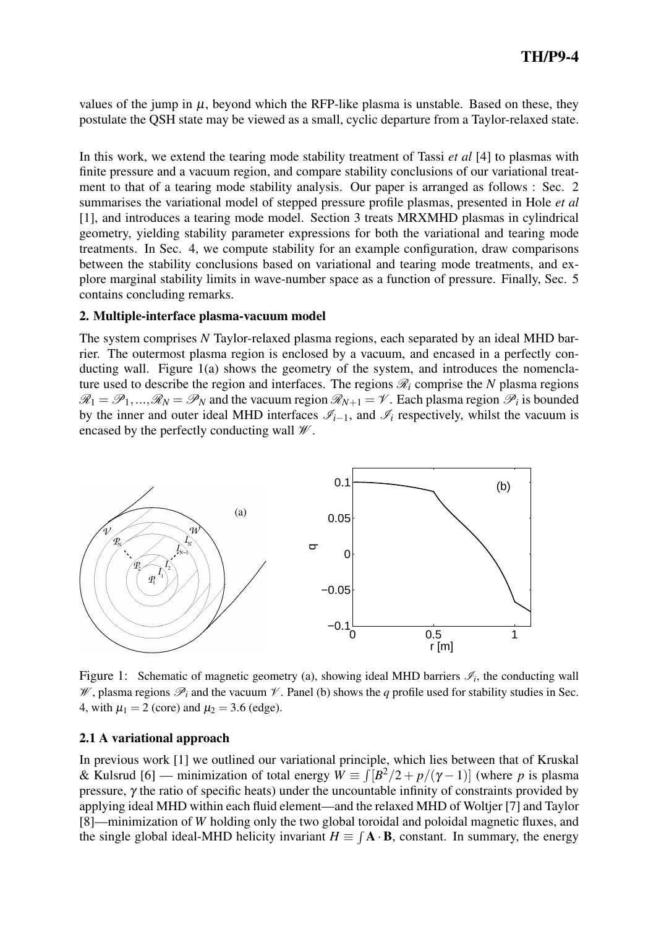values of the jump in  $\mu$ , beyond which the RFP-like plasma is unstable. Based on these, they postulate the QSH state may be viewed as a small, cyclic departure from a Taylor-relaxed state.

In this work, we extend the tearing mode stability treatment of Tassi *et al* [4] to plasmas with finite pressure and a vacuum region, and compare stability conclusions of our variational treatment to that of a tearing mode stability analysis. Our paper is arranged as follows : Sec. 2 summarises the variational model of stepped pressure profile plasmas, presented in Hole *et al* [1], and introduces a tearing mode model. Section 3 treats MRXMHD plasmas in cylindrical geometry, yielding stability parameter expressions for both the variational and tearing mode treatments. In Sec. 4, we compute stability for an example configuration, draw comparisons between the stability conclusions based on variational and tearing mode treatments, and explore marginal stability limits in wave-number space as a function of pressure. Finally, Sec. 5 contains concluding remarks.

## 2. Multiple-interface plasma-vacuum model

The system comprises *N* Taylor-relaxed plasma regions, each separated by an ideal MHD barrier. The outermost plasma region is enclosed by a vacuum, and encased in a perfectly conducting wall. Figure 1(a) shows the geometry of the system, and introduces the nomenclature used to describe the region and interfaces. The regions  $\mathcal{R}_i$  comprise the *N* plasma regions  $\mathscr{R}_1 = \mathscr{P}_1, ..., \mathscr{R}_N = \mathscr{P}_N$  and the vacuum region  $\mathscr{R}_{N+1} = \mathscr{V}$ . Each plasma region  $\mathscr{P}_i$  is bounded by the inner and outer ideal MHD interfaces  $\mathcal{I}_{i-1}$ , and  $\mathcal{I}_i$  respectively, whilst the vacuum is encased by the perfectly conducting wall  $\mathcal W$ .



Figure 1: Schematic of magnetic geometry (a), showing ideal MHD barriers  $\mathcal{I}_i$ , the conducting wall  $\mathscr{W}$ , plasma regions  $\mathscr{P}_i$  and the vacuum  $\mathscr{V}$ . Panel (b) shows the *q* profile used for stability studies in Sec. 4, with  $\mu_1 = 2$  (core) and  $\mu_2 = 3.6$  (edge).

## 2.1 A variational approach

In previous work [1] we outlined our variational principle, which lies between that of Kruskal & Kulsrud [6] — minimization of total energy  $W = \int [B^2/2 + p/(\gamma - 1)]$  (where p is plasma pressure, γ the ratio of specific heats) under the uncountable infinity of constraints provided by applying ideal MHD within each fluid element—and the relaxed MHD of Woltjer [7] and Taylor [8]—minimization of *W* holding only the two global toroidal and poloidal magnetic fluxes, and the single global ideal-MHD helicity invariant  $H \equiv \int \mathbf{A} \cdot \mathbf{B}$ , constant. In summary, the energy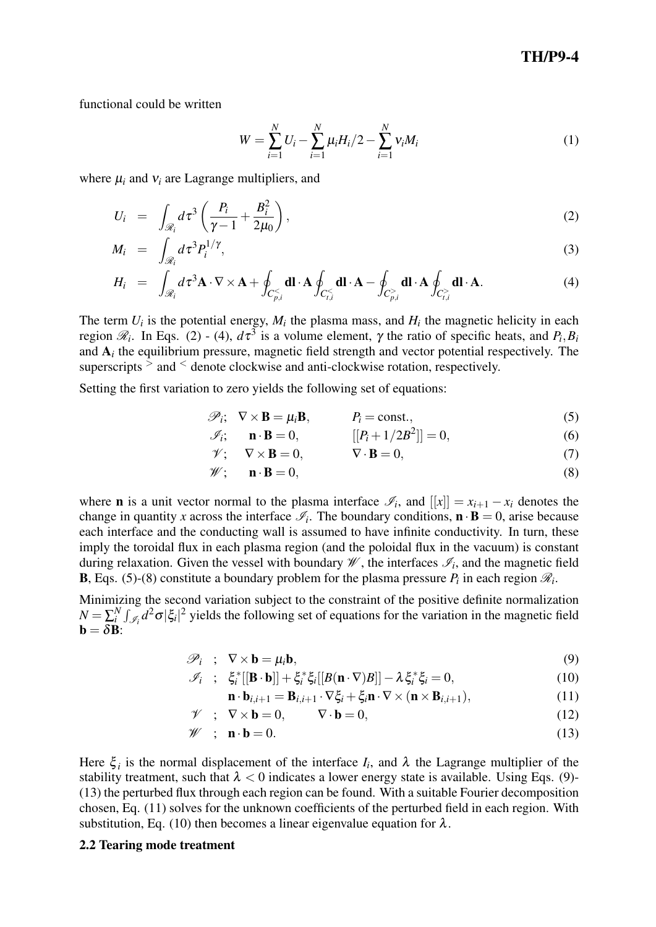functional could be written

$$
W = \sum_{i=1}^{N} U_i - \sum_{i=1}^{N} \mu_i H_i / 2 - \sum_{i=1}^{N} v_i M_i
$$
 (1)

where  $\mu_i$  and  $v_i$  are Lagrange multipliers, and

$$
U_i = \int_{\mathcal{R}_i} d\tau^3 \left( \frac{P_i}{\gamma - 1} + \frac{B_i^2}{2\mu_0} \right),\tag{2}
$$

$$
M_i = \int_{\mathcal{R}_i} d\tau^3 P_i^{1/\gamma}, \tag{3}
$$

$$
H_{i} = \int_{\mathscr{R}_{i}} d\tau^{3} \mathbf{A} \cdot \nabla \times \mathbf{A} + \oint_{C_{p,i}^{<}} d\mathbf{l} \cdot \mathbf{A} \oint_{C_{t,i}^{<}} d\mathbf{l} \cdot \mathbf{A} - \oint_{C_{p,i}^{>}} d\mathbf{l} \cdot \mathbf{A} \oint_{C_{t,i}^{>}} d\mathbf{l} \cdot \mathbf{A}.
$$
 (4)

The term  $U_i$  is the potential energy,  $M_i$  the plasma mass, and  $H_i$  the magnetic helicity in each region  $\mathcal{R}_i$ . In Eqs. (2) - (4),  $d\tau^3$  is a volume element, γ the ratio of specific heats, and  $P_i, B_i$ and A*<sup>i</sup>* the equilibrium pressure, magnetic field strength and vector potential respectively. The superscripts  $>$  and  $\leq$  denote clockwise and anti-clockwise rotation, respectively.

Setting the first variation to zero yields the following set of equations:

$$
\mathscr{P}_i; \quad \nabla \times \mathbf{B} = \mu_i \mathbf{B}, \qquad \qquad P_i = \text{const.}, \tag{5}
$$

$$
\mathcal{I}_i; \qquad \mathbf{n} \cdot \mathbf{B} = 0, \qquad \qquad [[P_i + 1/2B^2]] = 0,\tag{6}
$$

$$
\mathscr{V}; \quad \nabla \times \mathbf{B} = 0, \qquad \nabla \cdot \mathbf{B} = 0,
$$
\n<sup>(7)</sup>

$$
\mathscr{W}; \qquad \mathbf{n} \cdot \mathbf{B} = 0,\tag{8}
$$

where **n** is a unit vector normal to the plasma interface  $\mathcal{I}_i$ , and  $[[x]] = x_{i+1} - x_i$  denotes the change in quantity *x* across the interface  $\mathcal{I}_i$ . The boundary conditions,  $\mathbf{n} \cdot \mathbf{B} = 0$ , arise because each interface and the conducting wall is assumed to have infinite conductivity. In turn, these imply the toroidal flux in each plasma region (and the poloidal flux in the vacuum) is constant during relaxation. Given the vessel with boundary  $\mathcal W$ , the interfaces  $\mathcal I_i$ , and the magnetic field **B**, Eqs. (5)-(8) constitute a boundary problem for the plasma pressure  $P_i$  in each region  $\mathcal{R}_i$ .

Minimizing the second variation subject to the constraint of the positive definite normalization  $N = \sum_{i}^{N} \int_{\mathscr{I}_i} d^2 \sigma |\xi_i|^2$  yields the following set of equations for the variation in the magnetic field  $\mathbf{b} = \delta \mathbf{B}$ :

$$
\mathscr{P}_i \quad ; \quad \nabla \times \mathbf{b} = \mu_i \mathbf{b}, \tag{9}
$$

$$
\mathcal{I}_i \; ; \; \xi_i^*[[\mathbf{B} \cdot \mathbf{b}]] + \xi_i^* \xi_i[[B(\mathbf{n} \cdot \nabla)B]] - \lambda \xi_i^* \xi_i = 0, \tag{10}
$$

$$
\mathbf{n} \cdot \mathbf{b}_{i,i+1} = \mathbf{B}_{i,i+1} \cdot \nabla \xi_i + \xi_i \mathbf{n} \cdot \nabla \times (\mathbf{n} \times \mathbf{B}_{i,i+1}),
$$
(11)

$$
\mathscr{V} \quad ; \quad \nabla \times \mathbf{b} = 0, \qquad \nabla \cdot \mathbf{b} = 0,
$$
\n<sup>(12)</sup>

$$
\mathscr{W} \quad ; \quad \mathbf{n} \cdot \mathbf{b} = 0. \tag{13}
$$

Here  $\xi$ <sub>*i*</sub> is the normal displacement of the interface  $I_i$ , and  $\lambda$  the Lagrange multiplier of the stability treatment, such that  $\lambda < 0$  indicates a lower energy state is available. Using Eqs. (9)-(13) the perturbed flux through each region can be found. With a suitable Fourier decomposition chosen, Eq. (11) solves for the unknown coefficients of the perturbed field in each region. With substitution, Eq. (10) then becomes a linear eigenvalue equation for  $\lambda$ .

#### 2.2 Tearing mode treatment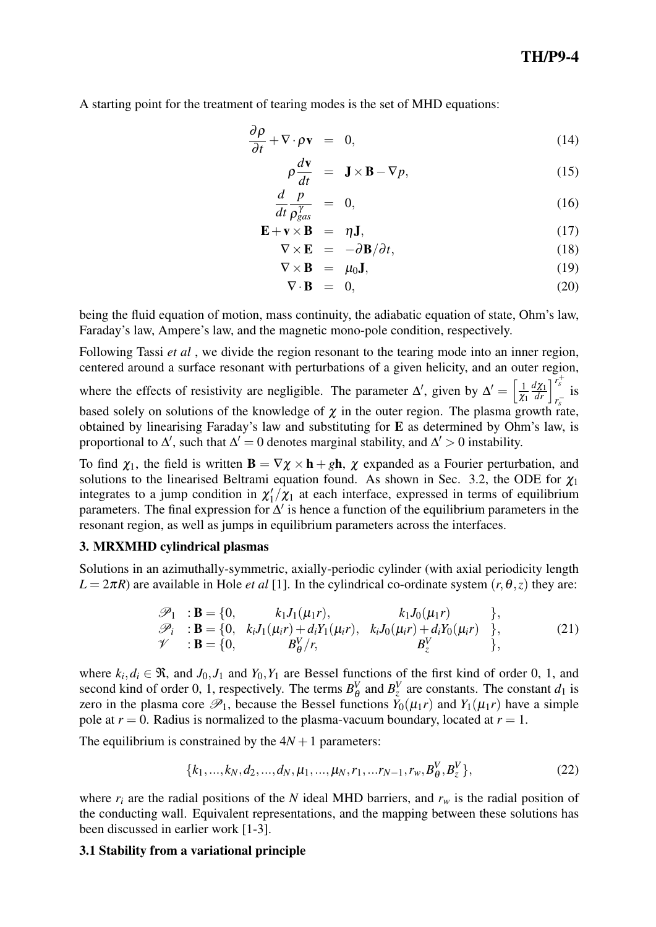A starting point for the treatment of tearing modes is the set of MHD equations:

$$
\frac{\partial \rho}{\partial t} + \nabla \cdot \rho \mathbf{v} = 0, \qquad (14)
$$

$$
\rho \frac{d\mathbf{v}}{dt} = \mathbf{J} \times \mathbf{B} - \nabla p,\tag{15}
$$

$$
\frac{d}{dt}\frac{p}{\rho_{gas}^{\gamma}} = 0, \qquad (16)
$$

$$
\mathbf{E} + \mathbf{v} \times \mathbf{B} = \eta \mathbf{J}, \tag{17}
$$

$$
\nabla \times \mathbf{E} = -\partial \mathbf{B}/\partial t, \qquad (18)
$$

$$
\nabla \times \mathbf{B} = \mu_0 \mathbf{J}, \tag{19}
$$

$$
\nabla \cdot \mathbf{B} = 0, \tag{20}
$$

being the fluid equation of motion, mass continuity, the adiabatic equation of state, Ohm's law, Faraday's law, Ampere's law, and the magnetic mono-pole condition, respectively.

Following Tassi *et al* , we divide the region resonant to the tearing mode into an inner region, centered around a surface resonant with perturbations of a given helicity, and an outer region,

where the effects of resistivity are negligible. The parameter  $\Delta'$ , given by  $\Delta' = \left[\frac{1}{\gamma}\right]$  $\chi_1$  $\left(\frac{d\chi_1}{dr}\right)$  $\left(\frac{r_s^+}{r_s^-}\right)$ *r* − *s* is

based solely on solutions of the knowledge of  $\chi$  in the outer region. The plasma growth rate, obtained by linearising Faraday's law and substituting for E as determined by Ohm's law, is proportional to  $\Delta'$ , such that  $\Delta' = 0$  denotes marginal stability, and  $\Delta' > 0$  instability.

To find  $\chi_1$ , the field is written  $\mathbf{B} = \nabla \chi \times \mathbf{h} + g\mathbf{h}$ ,  $\chi$  expanded as a Fourier perturbation, and solutions to the linearised Beltrami equation found. As shown in Sec. 3.2, the ODE for  $\chi_1$ integrates to a jump condition in  $\chi_1'$  $1/\chi_1$  at each interface, expressed in terms of equilibrium parameters. The final expression for  $\Delta'$  is hence a function of the equilibrium parameters in the resonant region, as well as jumps in equilibrium parameters across the interfaces.

# 3. MRXMHD cylindrical plasmas

Solutions in an azimuthally-symmetric, axially-periodic cylinder (with axial periodicity length  $L = 2\pi R$ ) are available in Hole *et al* [1]. In the cylindrical co-ordinate system  $(r, \theta, z)$  they are:

$$
\begin{array}{ll}\n\mathscr{P}_1 & : \mathbf{B} = \{0, \quad k_1 J_1(\mu_1 r), \quad k_1 J_0(\mu_1 r) \}, \\
\mathscr{P}_i & : \mathbf{B} = \{0, \quad k_i J_1(\mu_i r) + d_i Y_1(\mu_i r), \quad k_i J_0(\mu_i r) + d_i Y_0(\mu_i r) \}, \\
\mathscr{V} & : \mathbf{B} = \{0, \quad B_{\theta}^V/r, \quad B_{z}^V \},\n\end{array} \tag{21}
$$

where  $k_i, d_i \in \mathfrak{R}$ , and  $J_0, J_1$  and  $Y_0, Y_1$  are Bessel functions of the first kind of order 0, 1, and second kind of order 0, 1, respectively. The terms  $B_{\theta}^{V}$  $\theta$  and  $B^V$  are constants. The constant *d*<sub>1</sub> is zero in the plasma core  $\mathscr{P}_1$ , because the Bessel functions  $\tilde{Y}_0(\mu_1 r)$  and  $Y_1(\mu_1 r)$  have a simple pole at  $r = 0$ . Radius is normalized to the plasma-vacuum boundary, located at  $r = 1$ .

The equilibrium is constrained by the  $4N + 1$  parameters:

$$
\{k_1, \ldots, k_N, d_2, \ldots, d_N, \mu_1, \ldots, \mu_N, r_1, \ldots r_{N-1}, r_w, B_\theta^V, B_z^V\},\tag{22}
$$

where  $r_i$  are the radial positions of the *N* ideal MHD barriers, and  $r_w$  is the radial position of the conducting wall. Equivalent representations, and the mapping between these solutions has been discussed in earlier work [1-3].

# 3.1 Stability from a variational principle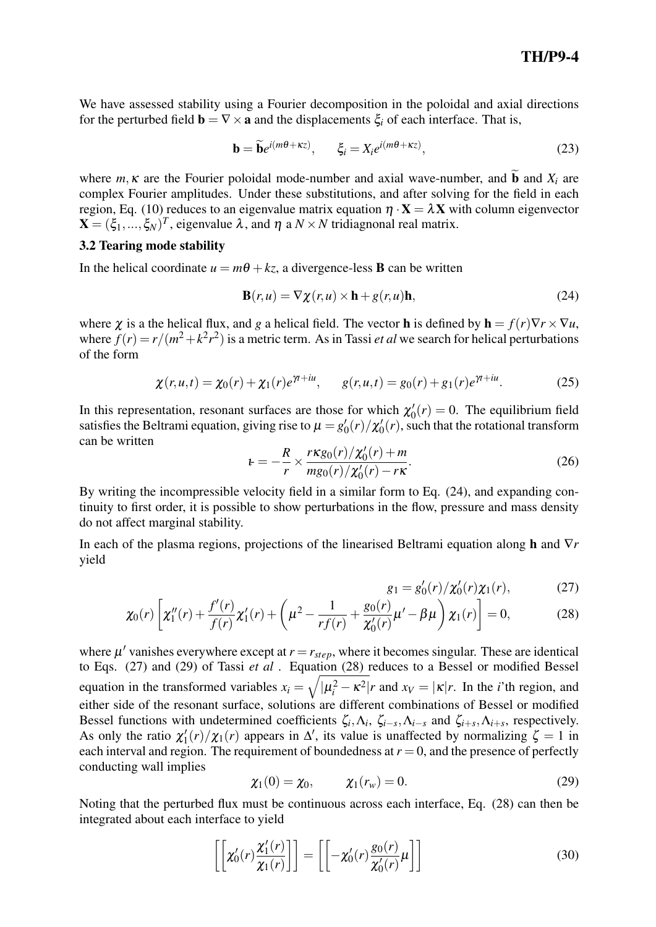We have assessed stability using a Fourier decomposition in the poloidal and axial directions for the perturbed field  $\mathbf{b} = \nabla \times \mathbf{a}$  and the displacements  $\xi_i$  of each interface. That is,

$$
\mathbf{b} = \widetilde{\mathbf{b}}e^{i(m\theta + \kappa z)}, \qquad \xi_i = X_i e^{i(m\theta + \kappa z)}, \tag{23}
$$

where *m*,  $\kappa$  are the Fourier poloidal mode-number and axial wave-number, and  $\tilde{\mathbf{b}}$  and  $X_i$  are complex Fourier amplitudes. Under these substitutions, and after solving for the field in each region, Eq. (10) reduces to an eigenvalue matrix equation  $\eta \cdot X = \lambda X$  with column eigenvector  $\mathbf{X} = (\xi_1, ..., \xi_N)^T$ , eigenvalue  $\lambda$ , and  $\eta$  a  $N \times N$  tridiagnonal real matrix.

#### 3.2 Tearing mode stability

In the helical coordinate  $u = m\theta + kz$ , a divergence-less **B** can be written

$$
\mathbf{B}(r, u) = \nabla \chi(r, u) \times \mathbf{h} + g(r, u)\mathbf{h},\tag{24}
$$

where  $\chi$  is a the helical flux, and *g* a helical field. The vector **h** is defined by  $\mathbf{h} = f(r)\nabla r \times \nabla u$ , where  $f(r) = r/(m^2 + k^2r^2)$  is a metric term. As in Tassi *et al* we search for helical perturbations of the form

$$
\chi(r, u, t) = \chi_0(r) + \chi_1(r)e^{\gamma t + iu}, \qquad g(r, u, t) = g_0(r) + g_1(r)e^{\gamma t + iu}.\tag{25}
$$

In this representation, resonant surfaces are those for which  $\chi'_{0}$  $v'_0(r) = 0$ . The equilibrium field satisfies the Beltrami equation, giving rise to  $\mu = g_0$  $v_0'(r)/\chi_0''$  $n'_0(r)$ , such that the rotational transform can be written

$$
t = -\frac{R}{r} \times \frac{r\kappa g_0(r)/\chi_0'(r) + m}{mg_0(r)/\chi_0'(r) - r\kappa}.
$$
\n(26)

By writing the incompressible velocity field in a similar form to Eq. (24), and expanding continuity to first order, it is possible to show perturbations in the flow, pressure and mass density do not affect marginal stability.

In each of the plasma regions, projections of the linearised Beltrami equation along h and ∇*r* yield

$$
g_1 = g'_0(r) / \chi'_0(r) \chi_1(r), \qquad (27)
$$

$$
\chi_0(r) \left[ \chi_1''(r) + \frac{f'(r)}{f(r)} \chi_1'(r) + \left( \mu^2 - \frac{1}{rf(r)} + \frac{g_0(r)}{\chi_0'(r)} \mu' - \beta \mu \right) \chi_1(r) \right] = 0, \tag{28}
$$

where  $\mu'$  vanishes everywhere except at  $r = r_{step}$ , where it becomes singular. These are identical to Eqs. (27) and (29) of Tassi *et al* . Equation (28) reduces to a Bessel or modified Bessel equation in the transformed variables  $x_i = \sqrt{|\mu_i^2 - \kappa^2|}r$  and  $x_V = |\kappa|r$ . In the *i*'th region, and either side of the resonant surface, solutions are different combinations of Bessel or modified Bessel functions with undetermined coefficients  $\zeta_i, \Lambda_i, \zeta_{i-s}, \Lambda_{i-s}$  and  $\zeta_{i+s}, \Lambda_{i+s}$ , respectively. As only the ratio  $\chi_1'$  $\frac{1}{1}(r)/\chi_1(r)$  appears in  $\Delta'$ , its value is unaffected by normalizing  $\zeta = 1$  in each interval and region. The requirement of boundedness at  $r = 0$ , and the presence of perfectly conducting wall implies

$$
\chi_1(0) = \chi_0, \qquad \chi_1(r_w) = 0. \tag{29}
$$

Noting that the perturbed flux must be continuous across each interface, Eq. (28) can then be integrated about each interface to yield

$$
\left[\left[\chi_0'(r)\frac{\chi_1'(r)}{\chi_1(r)}\right]\right] = \left[\left[-\chi_0'(r)\frac{g_0(r)}{\chi_0'(r)}\mu\right]\right]
$$
\n(30)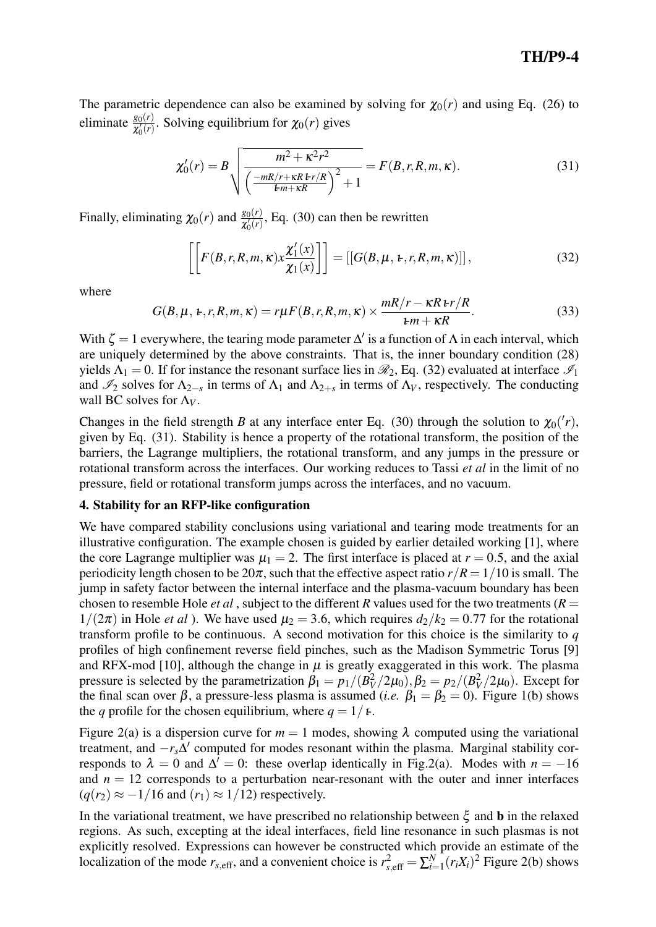The parametric dependence can also be examined by solving for  $\chi_0(r)$  and using Eq. (26) to eliminate  $\frac{g_0(r)}{\chi'_0(r)}$ . Solving equilibrium for  $\chi_0(r)$  gives

$$
\chi_0'(r) = B \sqrt{\frac{m^2 + \kappa^2 r^2}{\left(\frac{-mR/r + \kappa R \mathbf{L}r/R}{\mathbf{L}m + \kappa R}\right)^2 + 1}} = F(B, r, R, m, \kappa).
$$
 (31)

Finally, eliminating  $\chi_0(r)$  and  $\frac{g_0(r)}{\chi'_0(r)}$ , Eq. (30) can then be rewritten

$$
\left[\left[F(B,r,R,m,\kappa)x\frac{\chi_1'(x)}{\chi_1(x)}\right]\right] = \left[\left[G(B,\mu,\,\nu,r,R,m,\kappa)\right]\right],\tag{32}
$$

where

$$
G(B, \mu, \nu, r, R, m, \kappa) = r\mu F(B, r, R, m, \kappa) \times \frac{mR/r - \kappa R \nu r/R}{\nu m + \kappa R}.
$$
 (33)

With  $\zeta = 1$  everywhere, the tearing mode parameter  $\Delta'$  is a function of  $\Lambda$  in each interval, which are uniquely determined by the above constraints. That is, the inner boundary condition (28) yields  $\Lambda_1 = 0$ . If for instance the resonant surface lies in  $\mathcal{R}_2$ , Eq. (32) evaluated at interface  $\mathcal{I}_1$ and  $\mathcal{I}_2$  solves for  $\Lambda_{2-s}$  in terms of  $\Lambda_1$  and  $\Lambda_{2+s}$  in terms of  $\Lambda_V$ , respectively. The conducting wall BC solves for  $\Lambda_V$ .

Changes in the field strength *B* at any interface enter Eq. (30) through the solution to  $\chi_0('r)$ , given by Eq. (31). Stability is hence a property of the rotational transform, the position of the barriers, the Lagrange multipliers, the rotational transform, and any jumps in the pressure or rotational transform across the interfaces. Our working reduces to Tassi *et al* in the limit of no pressure, field or rotational transform jumps across the interfaces, and no vacuum.

# 4. Stability for an RFP-like configuration

We have compared stability conclusions using variational and tearing mode treatments for an illustrative configuration. The example chosen is guided by earlier detailed working [1], where the core Lagrange multiplier was  $\mu_1 = 2$ . The first interface is placed at  $r = 0.5$ , and the axial periodicity length chosen to be  $20\pi$ , such that the effective aspect ratio  $r/R = 1/10$  is small. The jump in safety factor between the internal interface and the plasma-vacuum boundary has been chosen to resemble Hole *et al*, subject to the different *R* values used for the two treatments ( $R =$  $1/(2\pi)$  in Hole *et al* ). We have used  $\mu_2 = 3.6$ , which requires  $d_2/k_2 = 0.77$  for the rotational transform profile to be continuous. A second motivation for this choice is the similarity to *q* profiles of high confinement reverse field pinches, such as the Madison Symmetric Torus [9] and RFX-mod [10], although the change in  $\mu$  is greatly exaggerated in this work. The plasma pressure is selected by the parametrization  $\beta_1 = p_1/(B_V^2/2\mu_0), \beta_2 = p_2/(B_V^2/2\mu_0)$ . Except for the final scan over  $\beta$ , a pressure-less plasma is assumed (*i.e.*  $\beta_1 = \beta_2 = 0$ ). Figure 1(b) shows the *q* profile for the chosen equilibrium, where  $q = 1/\nu$ .

Figure 2(a) is a dispersion curve for  $m = 1$  modes, showing  $\lambda$  computed using the variational treatment, and  $-r_s\Delta'$  computed for modes resonant within the plasma. Marginal stability corresponds to  $\lambda = 0$  and  $\Delta' = 0$ : these overlap identically in Fig.2(a). Modes with  $n = -16$ and  $n = 12$  corresponds to a perturbation near-resonant with the outer and inner interfaces  $(q(r_2) \approx -1/16$  and  $(r_1) \approx 1/12$ ) respectively.

In the variational treatment, we have prescribed no relationship between  $\xi$  and **b** in the relaxed regions. As such, excepting at the ideal interfaces, field line resonance in such plasmas is not explicitly resolved. Expressions can however be constructed which provide an estimate of the localization of the mode  $r_{s,eff}$ , and a convenient choice is  $r_{s,eff}^2 = \sum_{i=1}^{N} r_i^2$  $\sum_{i=1}^{N} (r_i X_i)^2$  Figure 2(b) shows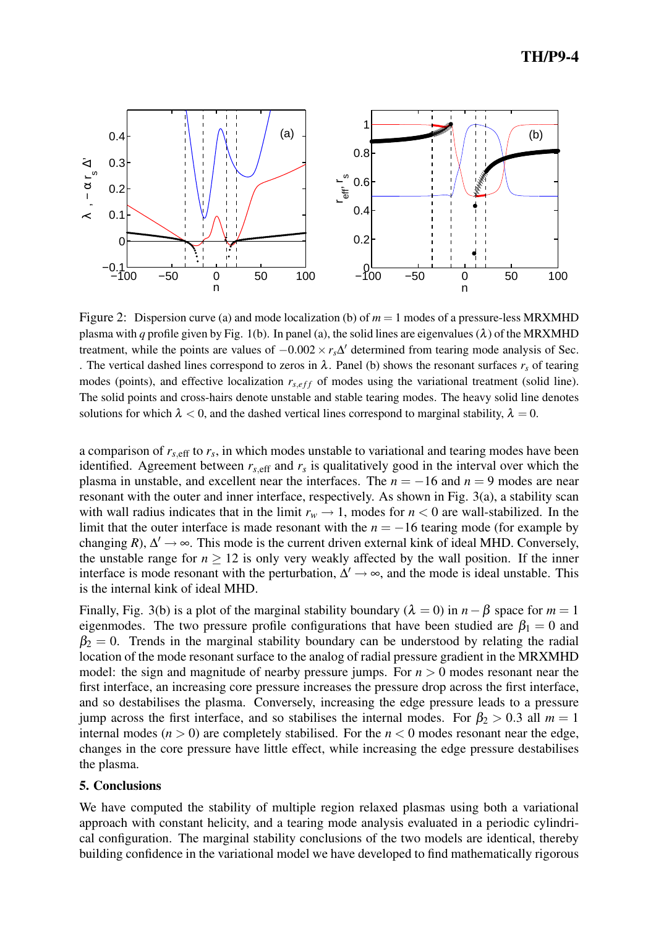

Figure 2: Dispersion curve (a) and mode localization (b) of *m* = 1 modes of a pressure-less MRXMHD plasma with *q* profile given by Fig. 1(b). In panel (a), the solid lines are eigenvalues ( $\lambda$ ) of the MRXMHD treatment, while the points are values of  $-0.002 \times r_s \Delta'$  determined from tearing mode analysis of Sec. . The vertical dashed lines correspond to zeros in  $\lambda$ . Panel (b) shows the resonant surfaces  $r_s$  of tearing modes (points), and effective localization  $r_{s,eff}$  of modes using the variational treatment (solid line). The solid points and cross-hairs denote unstable and stable tearing modes. The heavy solid line denotes solutions for which  $\lambda < 0$ , and the dashed vertical lines correspond to marginal stability,  $\lambda = 0$ .

a comparison of  $r_{s,eff}$  to  $r_s$ , in which modes unstable to variational and tearing modes have been identified. Agreement between  $r_{s,eff}$  and  $r_s$  is qualitatively good in the interval over which the plasma in unstable, and excellent near the interfaces. The  $n = -16$  and  $n = 9$  modes are near resonant with the outer and inner interface, respectively. As shown in Fig. 3(a), a stability scan with wall radius indicates that in the limit  $r_w \to 1$ , modes for  $n < 0$  are wall-stabilized. In the limit that the outer interface is made resonant with the  $n = -16$  tearing mode (for example by changing *R*),  $\Delta' \rightarrow \infty$ . This mode is the current driven external kink of ideal MHD. Conversely, the unstable range for  $n > 12$  is only very weakly affected by the wall position. If the inner interface is mode resonant with the perturbation,  $\Delta' \rightarrow \infty$ , and the mode is ideal unstable. This is the internal kink of ideal MHD.

Finally, Fig. 3(b) is a plot of the marginal stability boundary ( $\lambda = 0$ ) in  $n - \beta$  space for  $m = 1$ eigenmodes. The two pressure profile configurations that have been studied are  $\beta_1 = 0$  and  $\beta_2 = 0$ . Trends in the marginal stability boundary can be understood by relating the radial location of the mode resonant surface to the analog of radial pressure gradient in the MRXMHD model: the sign and magnitude of nearby pressure jumps. For  $n > 0$  modes resonant near the first interface, an increasing core pressure increases the pressure drop across the first interface, and so destabilises the plasma. Conversely, increasing the edge pressure leads to a pressure jump across the first interface, and so stabilises the internal modes. For  $\beta_2 > 0.3$  all  $m = 1$ internal modes  $(n > 0)$  are completely stabilised. For the  $n < 0$  modes resonant near the edge, changes in the core pressure have little effect, while increasing the edge pressure destabilises the plasma.

## 5. Conclusions

We have computed the stability of multiple region relaxed plasmas using both a variational approach with constant helicity, and a tearing mode analysis evaluated in a periodic cylindrical configuration. The marginal stability conclusions of the two models are identical, thereby building confidence in the variational model we have developed to find mathematically rigorous